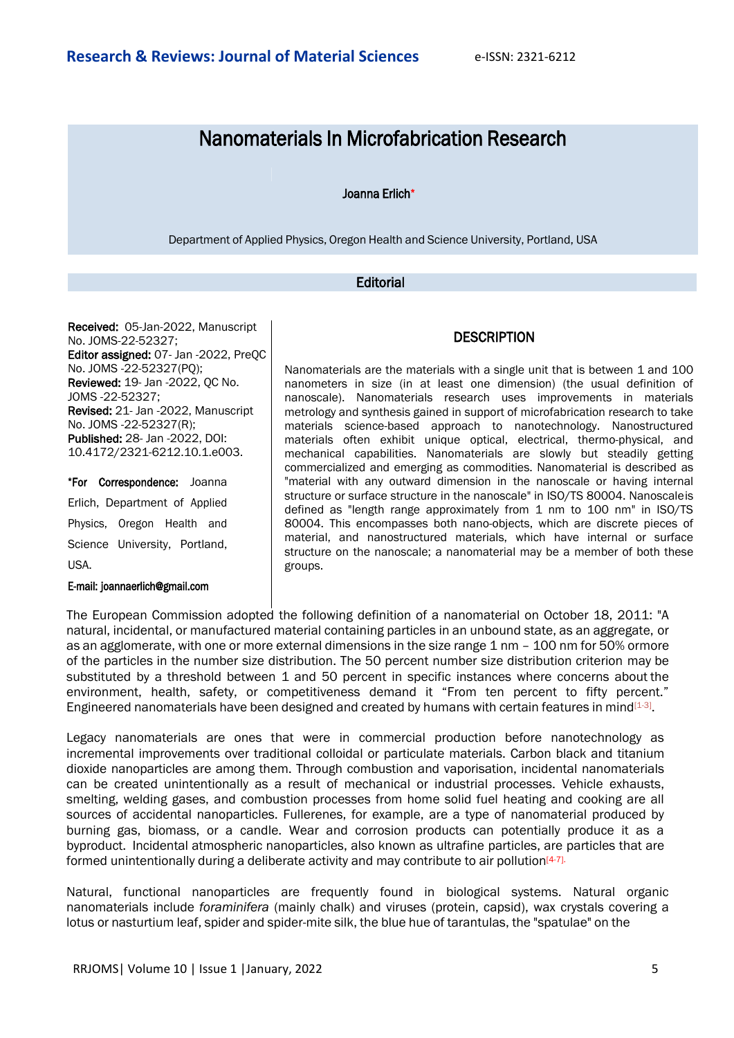# Nanomaterials In Microfabrication Research

## Joanna Erlich\*

Department of Applied Physics, Oregon Health and Science University, Portland, USA

# **Editorial**

Received: 05-Jan-2022, Manuscript No. JOMS-22-52327; Editor assigned: 07- Jan -2022, PreQC No. JOMS -22-52327(PQ); Reviewed: 19- Jan -2022, QC No. JOMS -22-52327; Revised: 21- Jan -2022, Manuscript No. JOMS -22-52327(R); Published: 28- Jan -2022, DOI: 10.4172/2321-6212.10.1.e003.

\*For Correspondence: Joanna Erlich, Department of Applied Physics, Oregon Health and Science University, Portland, USA.

#### E-mail: [joannaerlich@gmail.com](mailto:joannaerlich@gmail.com)

## **DESCRIPTION**

Nanomaterials are the materials with a single unit that is between 1 and 100 nanometers in size (in at least one dimension) (the usual definition of nanoscale). Nanomaterials research uses improvements in materials metrology and synthesis gained in support of microfabrication research to take materials science-based approach to nanotechnology. Nanostructured materials often exhibit unique optical, electrical, thermo-physical, and mechanical capabilities. Nanomaterials are slowly but steadily getting commercialized and emerging as commodities. Nanomaterial is described as "material with any outward dimension in the nanoscale or having internal structure or surface structure in the nanoscale" in ISO/TS 80004. Nanoscaleis defined as "length range approximately from 1 nm to 100 nm" in ISO/TS 80004. This encompasses both nano-objects, which are discrete pieces of material, and nanostructured materials, which have internal or surface structure on the nanoscale; a nanomaterial may be a member of both these groups.

The European Commission adopted the following definition of a nanomaterial on October 18, 2011: "A natural, incidental, or manufactured material containing particles in an unbound state, as an aggregate, or as an agglomerate, with one or more external dimensions in the size range 1 nm – 100 nm for 50% ormore of the particles in the number size distribution. The 50 percent number size distribution criterion may be substituted by a threshold between 1 and 50 percent in specific instances where concerns about the environment, health, safety, or competitiveness demand it "From ten percent to fifty percent." Engineered nanomaterials have been designed and created by humans with certain features in mind<sup>[1-3]</sup>.

Legacy nanomaterials are ones that were in commercial production before nanotechnology as incremental improvements over traditional colloidal or particulate materials. Carbon black and titanium dioxide nanoparticles are among them. Through combustion and vaporisation, incidental nanomaterials can be created unintentionally as a result of mechanical or industrial processes. Vehicle exhausts, smelting, welding gases, and combustion processes from home solid fuel heating and cooking are all sources of accidental nanoparticles. Fullerenes, for example, are a type of nanomaterial produced by burning gas, biomass, or a candle. Wear and corrosion products can potentially produce it as a byproduct. Incidental atmospheric nanoparticles, also known as ultrafine particles, are particles that are formed unintentionally during a deliberate activity and may contribute to air pollution $[4-7]$ .

Natural, functional nanoparticles are frequently found in biological systems. Natural organic nanomaterials include *foraminifera* (mainly chalk) and viruses (protein, capsid), wax crystals covering a lotus or nasturtium leaf, spider and spider-mite silk, the blue hue of tarantulas, the "spatulae" on the